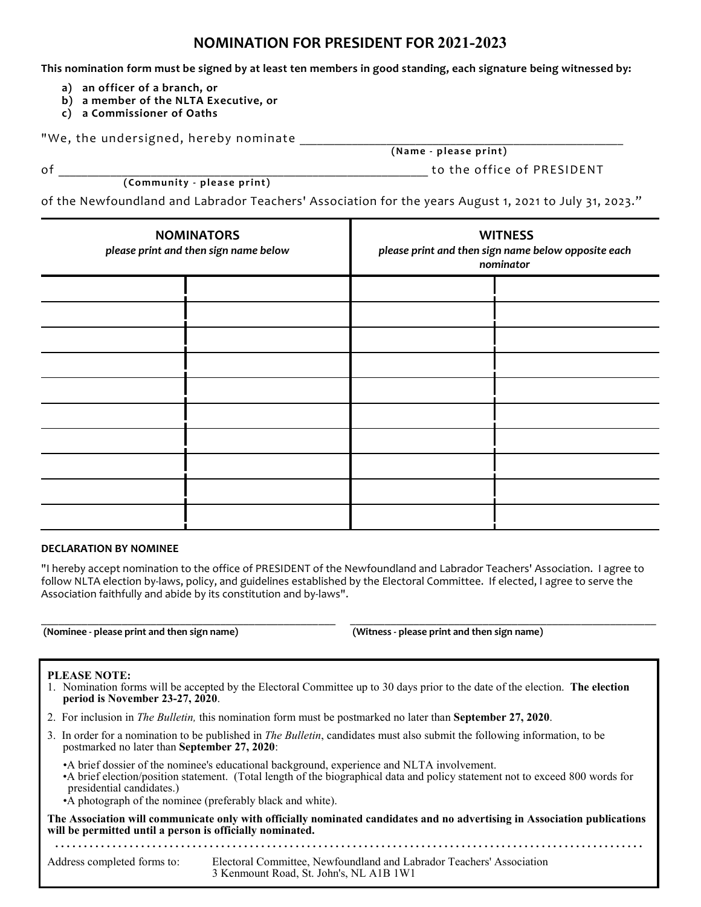# **NOMINATION FOR PRESIDENT FOR 2021-2023**

**This nomination form must be signed by at least ten members in good standing, each signature being witnessed by:**

- **a) an officer of a branch, or**
- **b) a member of the NLTA Executive, or**
- **c) a Commissioner of Oaths**

"We, the undersigned, hereby nominate

**( Community - please print)**

**(Name - please print)**

of the office of PRESIDENT  $\sim$ 

of the Newfoundland and Labrador Teachers' Association for the years August 1, 2021 to July 31, 2023."

| <b>NOMINATORS</b><br>please print and then sign name below | <b>WITNESS</b><br>please print and then sign name below opposite each<br>nominator |  |
|------------------------------------------------------------|------------------------------------------------------------------------------------|--|
|                                                            |                                                                                    |  |
|                                                            |                                                                                    |  |
|                                                            |                                                                                    |  |
|                                                            |                                                                                    |  |
|                                                            |                                                                                    |  |
|                                                            |                                                                                    |  |
|                                                            |                                                                                    |  |
|                                                            |                                                                                    |  |
|                                                            |                                                                                    |  |
|                                                            |                                                                                    |  |

#### **DECLARATION BY NOMINEE**

"I hereby accept nomination to the office of PRESIDENT of the Newfoundland and Labrador Teachers' Association. I agree to follow NLTA election by-laws, policy, and guidelines established by the Electoral Committee. If elected, I agree to serve the Association faithfully and abide by its constitution and by-laws".

\_\_\_\_\_\_\_\_\_\_\_\_\_\_\_\_\_\_\_\_\_\_\_\_\_\_\_\_\_\_\_\_\_\_\_\_\_\_\_\_\_\_\_\_\_\_\_\_\_\_\_ \_\_\_\_\_\_\_\_\_\_\_\_\_\_\_\_\_\_\_\_\_\_\_\_\_\_\_\_\_\_\_\_\_\_\_\_\_\_\_\_\_\_\_\_\_\_\_\_\_\_\_\_\_

**(Nominee - please print and then sign name) (Witness - please print and then sign name)**

#### **PLEASE NOTE:**

- 1. Nomination forms will be accepted by the Electoral Committee up to 30 days prior to the date of the election. **The election period is November 23-27, 2020**.
- 2. For inclusion in *The Bulletin,* this nomination form must be postmarked no later than **September 27, 2020**.
- 3. In order for a nomination to be published in *The Bulletin*, candidates must also submit the following information, to be postmarked no later than **September 27, 2020**:
	- •A brief dossier of the nominee's educational background, experience and NLTA involvement.
	- •A brief election/position statement. (Total length of the biographical data and policy statement not to exceed 800 words for presidential candidates.)
	- •A photograph of the nominee (preferably black and white).

**The Association will communicate only with officially nominated candidates and no advertising in Association publications will be permitted until a person is officially nominated. . . . . . . . . . . . . . . . . . . . . . . . . . . . . . . . . . . . . . . . . . . . . . . . . . . . . . . . . . . . . . . . . . . . . . . . . . . . . . . . . . . . . . . . . . . . . . . . . . . . . . . .**

Address completed forms to: Electoral Committee, Newfoundland and Labrador Teachers' Association 3 Kenmount Road, St. John's, NL A1B 1W1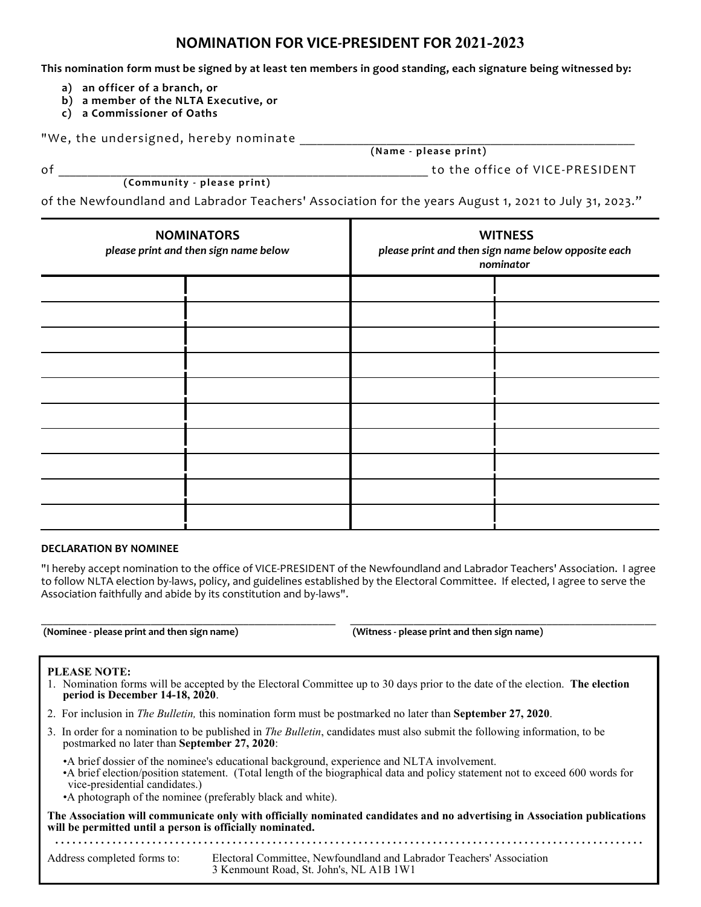# **NOMINATION FOR VICE-PRESIDENT FOR 2021-2023**

**This nomination form must be signed by at least ten members in good standing, each signature being witnessed by:**

- **a) an officer of a branch, or**
- **b) a member of the NLTA Executive, or**
- **c) a Commissioner of Oaths**

"We, the undersigned, hereby nominate

**( Community - please print)**

**(Name - please print)**

of the office of VICE-PRESIDENT  $\sim$  to the office of VICE-PRESIDENT

of the Newfoundland and Labrador Teachers' Association for the years August 1, 2021 to July 31, 2023."

| <b>NOMINATORS</b><br>please print and then sign name below |  | <b>WITNESS</b><br>please print and then sign name below opposite each<br>nominator |
|------------------------------------------------------------|--|------------------------------------------------------------------------------------|
|                                                            |  |                                                                                    |
|                                                            |  |                                                                                    |
|                                                            |  |                                                                                    |
|                                                            |  |                                                                                    |
|                                                            |  |                                                                                    |
|                                                            |  |                                                                                    |
|                                                            |  |                                                                                    |
|                                                            |  |                                                                                    |
|                                                            |  |                                                                                    |
|                                                            |  |                                                                                    |

#### **DECLARATION BY NOMINEE**

"I hereby accept nomination to the office of VICE-PRESIDENT of the Newfoundland and Labrador Teachers' Association. I agree to follow NLTA election by-laws, policy, and guidelines established by the Electoral Committee. If elected, I agree to serve the Association faithfully and abide by its constitution and by-laws".

\_\_\_\_\_\_\_\_\_\_\_\_\_\_\_\_\_\_\_\_\_\_\_\_\_\_\_\_\_\_\_\_\_\_\_\_\_\_\_\_\_\_\_\_\_\_\_\_\_\_\_ \_\_\_\_\_\_\_\_\_\_\_\_\_\_\_\_\_\_\_\_\_\_\_\_\_\_\_\_\_\_\_\_\_\_\_\_\_\_\_\_\_\_\_\_\_\_\_\_\_\_\_\_\_

**(Nominee - please print and then sign name) (Witness - please print and then sign name)**

#### **PLEASE NOTE:**

- 1. Nomination forms will be accepted by the Electoral Committee up to 30 days prior to the date of the election. **The election period is December 14-18, 2020**.
- 2. For inclusion in *The Bulletin,* this nomination form must be postmarked no later than **September 27, 2020**.
- 3. In order for a nomination to be published in *The Bulletin*, candidates must also submit the following information, to be postmarked no later than **September 27, 2020**:
	- •A brief dossier of the nominee's educational background, experience and NLTA involvement.
	- •A brief election/position statement. (Total length of the biographical data and policy statement not to exceed 600 words for vice-presidential candidates.)
	- •A photograph of the nominee (preferably black and white).

**. . . . . . . . . . . . . . . . . . . . . . . . . . . . . . . . . . . . . . . . . . . . . . . . . . . . . . . . . . . . . . . . . . . . . . . . . . . . . . . . . . . . . . . . . . . . . . . . . . . . . . .**

**The Association will communicate only with officially nominated candidates and no advertising in Association publications will be permitted until a person is officially nominated.**

Address completed forms to: Electoral Committee, Newfoundland and Labrador Teachers' Association 3 Kenmount Road, St. John's, NL A1B 1W1